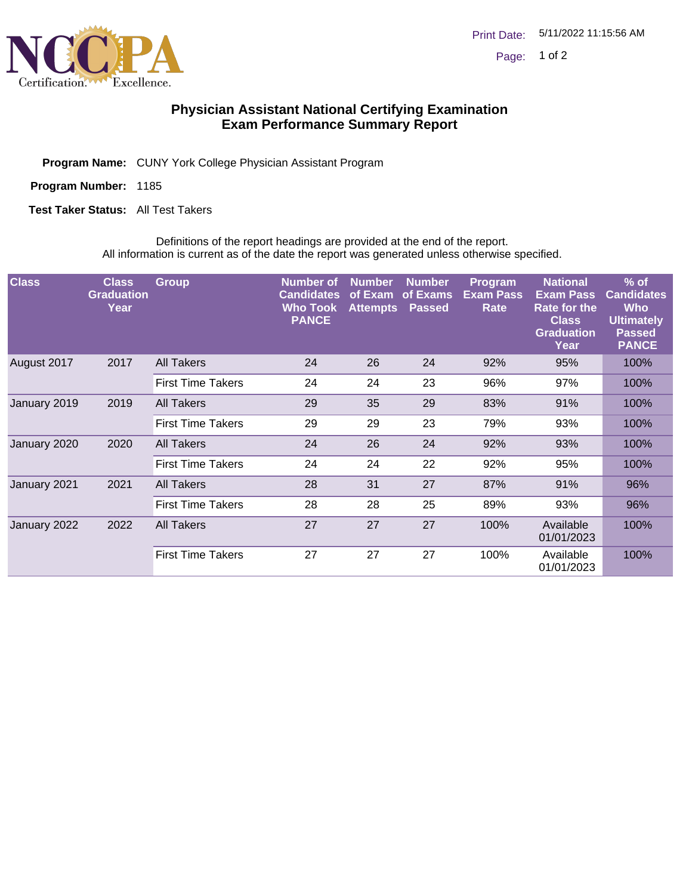

## **Physician Assistant National Certifying Examination Exam Performance Summary Report**

Program Name: CUNY York College Physician Assistant Program

Program Number: 1185

**Test Taker Status:** All Test Takers

Definitions of the report headings are provided at the end of the report. All information is current as of the date the report was generated unless otherwise specified.

| <b>Class</b> | <b>Class</b><br><b>Graduation</b><br>Year | <b>Group</b>             | <b>Number of</b><br><b>Candidates</b><br><b>Who Took</b><br><b>PANCE</b> | <b>Number</b><br>of Exam<br><b>Attempts</b> | <b>Number</b><br>of Exams<br><b>Passed</b> | Program<br><b>Exam Pass</b><br>Rate | <b>National</b><br><b>Exam Pass</b><br><b>Rate for the</b><br><b>Class</b><br><b>Graduation</b><br>Year | $%$ of<br><b>Candidates</b><br><b>Who</b><br><b>Ultimately</b><br><b>Passed</b><br><b>PANCE</b> |
|--------------|-------------------------------------------|--------------------------|--------------------------------------------------------------------------|---------------------------------------------|--------------------------------------------|-------------------------------------|---------------------------------------------------------------------------------------------------------|-------------------------------------------------------------------------------------------------|
| August 2017  | 2017                                      | All Takers               | 24                                                                       | 26                                          | 24                                         | 92%                                 | 95%                                                                                                     | 100%                                                                                            |
|              |                                           | <b>First Time Takers</b> | 24                                                                       | 24                                          | 23                                         | 96%                                 | 97%                                                                                                     | 100%                                                                                            |
| January 2019 | 2019                                      | <b>All Takers</b>        | 29                                                                       | 35                                          | 29                                         | 83%                                 | 91%                                                                                                     | 100%                                                                                            |
|              |                                           | <b>First Time Takers</b> | 29                                                                       | 29                                          | 23                                         | 79%                                 | 93%                                                                                                     | 100%                                                                                            |
| January 2020 | 2020                                      | <b>All Takers</b>        | 24                                                                       | 26                                          | 24                                         | 92%                                 | 93%                                                                                                     | 100%                                                                                            |
|              |                                           | <b>First Time Takers</b> | 24                                                                       | 24                                          | 22                                         | 92%                                 | 95%                                                                                                     | 100%                                                                                            |
| January 2021 | 2021                                      | <b>All Takers</b>        | 28                                                                       | 31                                          | 27                                         | 87%                                 | 91%                                                                                                     | 96%                                                                                             |
|              |                                           | <b>First Time Takers</b> | 28                                                                       | 28                                          | 25                                         | 89%                                 | 93%                                                                                                     | 96%                                                                                             |
| January 2022 | 2022                                      | <b>All Takers</b>        | 27                                                                       | 27                                          | 27                                         | 100%                                | Available<br>01/01/2023                                                                                 | 100%                                                                                            |
|              |                                           | <b>First Time Takers</b> | 27                                                                       | 27                                          | 27                                         | 100%                                | Available<br>01/01/2023                                                                                 | 100%                                                                                            |